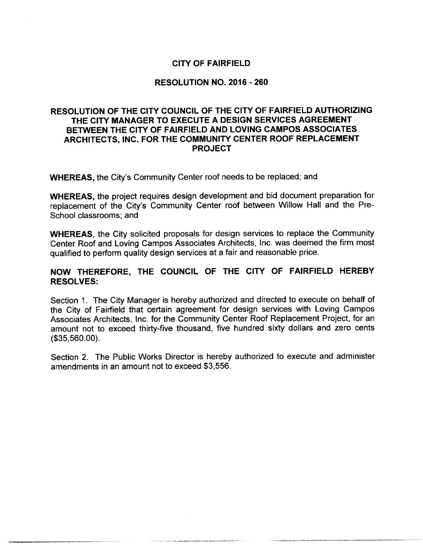# CITY OF FAIRFIELD

#### RESOLUTION NO. 2016 - 260

# RESOLUTION OF THE CITY COUNCIL OF THE CITY OF FAIRFIELD AUTHORIZING THE CITY MANAGER TO EXECUTE A DESIGN SERVICES AGREEMENT BETWEEN THE CITY OF FAIRFIELD AND LOVING CAMPOS ASSOCIATES ARCHITECTS, INC. FOR THE COMMUNITY CENTER ROOF REPLACEMENT PROJECT

WHEREAS, the City's Community Center roof needs to be replaced; and

WHEREAS, the project requires design development and bid document preparation for replacement of the City's Community Center roof between Willow Hall and the Pre-School classrooms; and

WHEREAS, the City solicited proposals for design services to replace the Community Center Roof and Loving Campos Associates Architects, Inc. was deemed the firm most qualified to perform quality design services at a fair and reasonable price.

# NOW THEREFORE, THE COUNCIL OF THE CITY OF FAIRFIELD HEREBY RESOLVES:

Section 1. The City Manager is hereby authorized and directed to execute on behalf of the City of Fairfield that certain agreement for design services with Loving Campos Associates Architects, Inc. for the Community Center Roof Replacement Project, for an amount not to exceed thirty-five thousand, five hundred sixty dollars and zero cents  $($ \$35, 560.00 $).$ 

Section 2. The Public Works Director is hereby authorized to execute and administer amendments in an amount not to exceed \$3,556.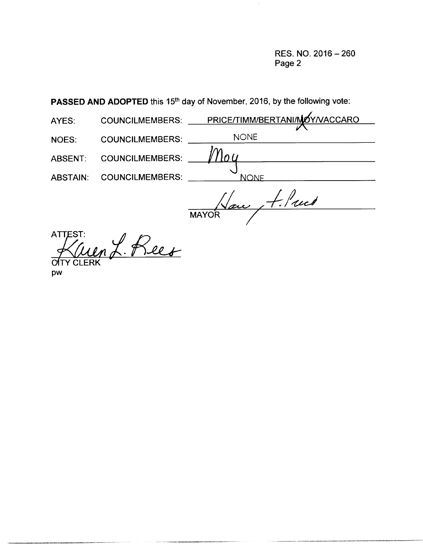RES. NO. 2016 —260 Page 2

PASSED AND ADOPTED this 15<sup>th</sup> day of November, 2016, by the following vote:

| AYES:           | <b>COUNCILMEMBERS:</b> | PRICE/TIMM/BERTANI/MOY/VACCARO |
|-----------------|------------------------|--------------------------------|
| <b>NOES:</b>    | <b>COUNCILMEMBERS:</b> | <b>NONE</b>                    |
| ABSENT:         | <b>COUNCILMEMBERS:</b> |                                |
| <b>ABSTAIN:</b> | <b>COUNCILMEMBERS:</b> | <b>NONE</b>                    |
|                 |                        | You Alued                      |
|                 |                        | <b>MAYO</b>                    |

**ATTEST:** 0 TY CLERK

pw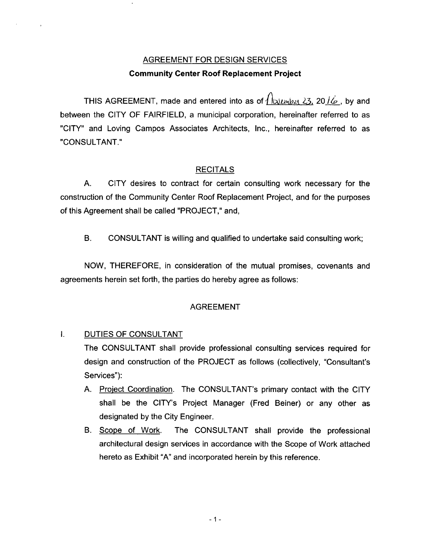# AGREEMENT FOR DESIGN SERVICES Community Center Roof Replacement Project

THIS AGREEMENT, made and entered into as of  $\int \omega \mu \mu \nu \mu \nu \nu \nu$ , by and between the CITY OF FAIRFIELD, a municipal corporation, hereinafter referred to as CITY" and Loving Campos Associates Architects, Inc., hereinafter referred to as CONSULTANT."

# RECITALS

A. CITY desires to contract for certain consulting work necessary for the construction of the Community Center Roof Replacement Project, and for the purposes of this Agreement shall be called "PROJECT," and,

B. CONSULTANT is willing and qualified to undertake said consulting work;

NOW, THEREFORE, in consideration of the mutual promises, covenants and agreements herein set forth, the parties do hereby agree as follows:

### AGREEMENT

# I. DUTIES OF CONSULTANT

 $\bar{\lambda}$ 

The CONSULTANT shall provide professional consulting services required for design and construction of the PROJECT as follows (collectively, "Consultant's Services"):

- A. Project Coordination. The CONSULTANT's primary contact with the CITY shall be the CITY's Project Manager (Fred Beiner) or any other as designated by the City Engineer.
- B. Scope of Work. The CONSULTANT shall provide the professional architectural design services in accordance with the Scope of Work attached hereto as Exhibit "A" and incorporated herein by this reference.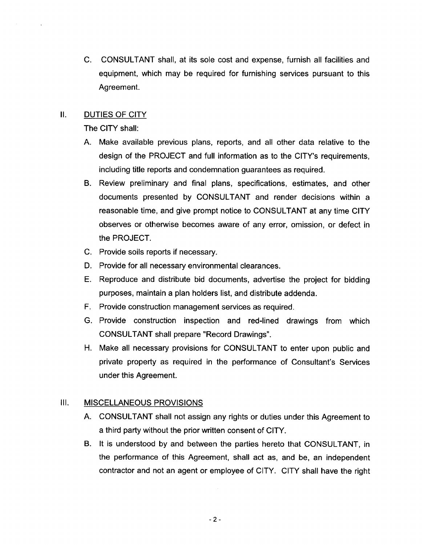C. CONSULTANT shall, at its sole cost and expense, furnish all facilities and equipment, which may be required for furnishing services pursuant to this Agreement.

## II. DUTIES OF CITY

The CITY shall:

- A. Make available previous plans, reports, and all other data relative to the design of the PROJECT and full information as to the CITY's requirements, including title reports and condemnation guarantees as required.
- B. Review preliminary and final plans, specifications, estimates, and other documents presented by CONSULTANT and render decisions within a reasonable time, and give prompt notice to CONSULTANT at any time CITY observes or otherwise becomes aware of any error, omission, or defect in the PROJECT.
- C. Provide soils reports if necessary.
- D. Provide for all necessary environmental clearances.
- E. Reproduce and distribute bid documents, advertise the project for bidding purposes, maintain a plan holders list, and distribute addenda.
- F. Provide construction management services as required.
- G. Provide construction inspection and red-lined drawings from which CONSULTANT shall prepare " Record Drawings".
- H. Make all necessary provisions for CONSULTANT to enter upon public and private property as required in the performance of Consultant's Services under this Agreement.

### III. MISCELLANEOUS PROVISIONS

- A. CONSULTANT shall not assign any rights or duties under this Agreement to a third party without the prior written consent of CITY.
- B. It is understood by and between the parties hereto that CONSULTANT, in the performance of this Agreement, shall act as, and be, an independent contractor and not an agent or employee of CITY. CITY shall have the right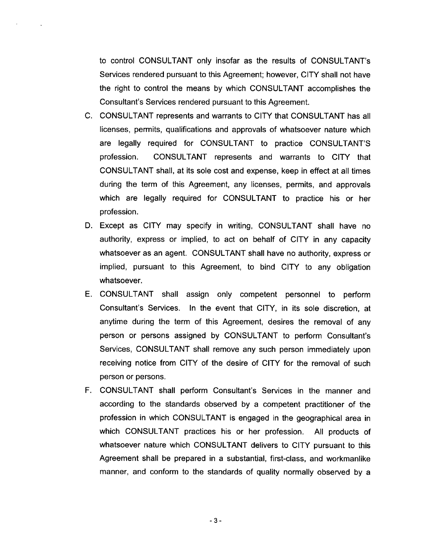to control CONSULTANT only insofar as the results of CONSULTANT's Services rendered pursuant to this Agreement; however, CITY shall not have the right to control the means by which CONSULTANT accomplishes the Consultant's Services rendered pursuant to this Agreement.

 $\mathcal{A}$ 

- C. CONSULTANT represents and warrants to CITY that CONSULTANT has all licenses, permits, qualifications and approvals of whatsoever nature which are legally required for CONSULTANT to practice CONSULTANT'S profession. CONSULTANT represents and warrants to CITY that CONSULTANT shall, at its sole cost and expense, keep in effect at all times during the term of this Agreement, any licenses, permits, and approvals which are legally required for CONSULTANT to practice his or her profession.
- D. Except as CITY may specify in writing, CONSULTANT shall have no authority, express or implied, to act on behalf of CITY in any capacity whatsoever as an agent. CONSULTANT shall have no authority, express or implied, pursuant to this Agreement, to bind CITY to any obligation whatsoever.
- E. CONSULTANT shall assign only competent personnel to perform Consultant's Services. In the event that CITY, in its sole discretion, at anytime during the term of this Agreement, desires the removal of any person or persons assigned by CONSULTANT to perform Consultant's Services, CONSULTANT shall remove any such person immediately upon receiving notice from CITY of the desire of CITY for the removal of such person or persons.
- F. CONSULTANT shall perform Consultant's Services in the manner and according to the standards observed by a competent practitioner of the profession in which CONSULTANT is engaged in the geographical area in which CONSULTANT practices his or her profession. All products of whatsoever nature which CONSULTANT delivers to CITY pursuant to this Agreement shall be prepared in a substantial, first-class, and workmanlike manner, and conform to the standards of quality normally observed by a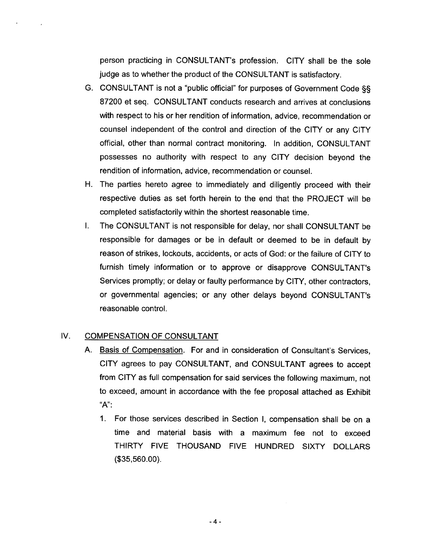person practicing in CONSULTANT's profession. CITY shall be the sole judge as to whether the product of the CONSULTANT is satisfactory.

- G. CONSULTANT is not a "public official" for purposes of Government Code §§ 87200 et seq. CONSULTANT conducts research and arrives at conclusions with respect to his or her rendition of information, advice, recommendation or counsel independent of the control and direction of the CITY or any CITY official, other than normal contract monitoring. In addition, CONSULTANT possesses no authority with respect to any CITY decision beyond the rendition of information, advice, recommendation or counsel.
- H. The parties hereto agree to immediately and diligently proceed with their respective duties as set forth herein to the end that the PROJECT will be completed satisfactorily within the shortest reasonable time.
- I. The CONSULTANT is not responsible for delay, nor shall CONSULTANT be responsible for damages or be in default or deemed to be in default by reason of strikes, lockouts, accidents, or acts of God: or the failure of CITY to furnish timely information or to approve or disapprove CONSULTANT's Services promptly; or delay or faulty performance by CITY, other contractors, or governmental agencies; or any other delays beyond CONSULTANT's reasonable control.

### IV. COMPENSATION OF CONSULTANT

 $\alpha$ 

 $\sim$ 

- A. Basis of Compensation. For and in consideration of Consultant's Services, CITY agrees to pay CONSULTANT, and CONSULTANT agrees to accept from CITY as full compensation for said services the following maximum, not to exceed, amount in accordance with the fee proposal attached as Exhibit  $"A"$ :
	- 1. For those services described in Section I, compensation shall be on a time and material basis with a maximum fee not to exceed THIRTY FIVE THOUSAND FIVE HUNDRED SIXTY DOLLARS 35,560.00).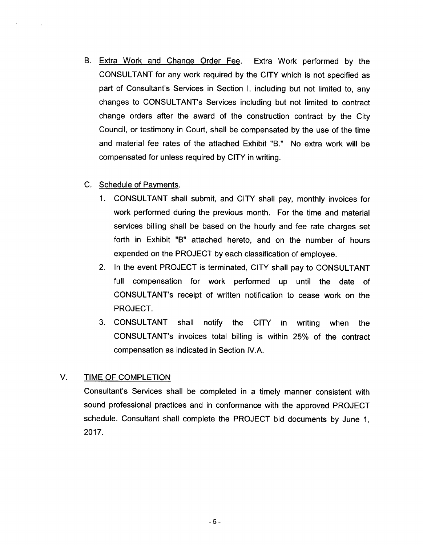- B. Extra Work and Change Order Fee. Extra Work performed by the CONSULTANT for any work required by the CITY which is not specified as part of Consultant's Services in Section I, including but not limited to, any changes to CONSULTANT's Services including but not limited to contract change orders after the award of the construction contract by the City Council, or testimony in Court, shall be compensated by the use of the time and material fee rates of the attached Exhibit "B." No extra work will be compensated for unless required by CITY in writing.
- C. Schedule of Payments.
	- 1. CONSULTANT shall submit, and CITY shall pay, monthly invoices for work performed during the previous month. For the time and material services billing shall be based on the hourly and fee rate charges set forth in Exhibit "B" attached hereto, and on the number of hours expended on the PROJECT by each classification of employee.
	- 2. In the event PROJECT is terminated, CITY shall pay to CONSULTANT full compensation for work performed up until the date of CONSULTANT's receipt of written notification to cease work on the PROJECT.
	- 3. CONSULTANT shall notify the CITY in writing when the CONSULTANT's invoices total billing is within 25% of the contract compensation as indicated in Section IV.A.

# V. TIME OF COMPLETION

Consultant's Services shall be completed in a timely manner consistent with sound professional practices and in conformance with the approved PROJECT schedule. Consultant shall complete the PROJECT bid documents by June 1, 2017.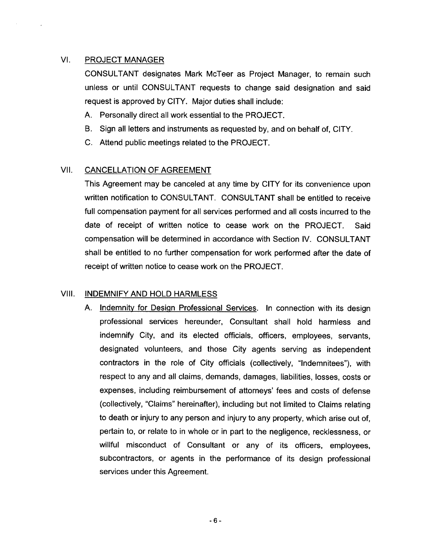# VI. PROJECT MANAGER

CONSULTANT designates Mark McTeer as Project Manager, to remain such unless or until CONSULTANT requests to change said designation and said request is approved by CITY. Major duties shall include:

- A. Personally direct all work essential to the PROJECT.
- B. Sign all letters and instruments as requested by, and on behalf of, CITY.
- C. Attend public meetings related to the PROJECT.

#### VII. CANCELLATION OF AGREEMENT

This Agreement may be canceled at any time by CITY for its convenience upon written notification to CONSULTANT. CONSULTANT shall be entitled to receive full compensation payment for all services performed and all costs incurred to the date of receipt of written notice to cease work on the PROJECT. Said compensation will be determined in accordance with Section IV. CONSULTANT shall be entitled to no further compensation for work performed after the date of receipt of written notice to cease work on the PROJECT.

### VIII. INDEMNIFY AND HOLD HARMLESS

A. Indemnity for Design Professional Services. In connection with its design professional services hereunder, Consultant shall hold harmless and indemnify City, and its elected officials, officers, employees, servants, designated volunteers, and those City agents serving as independent contractors in the role of City officials (collectively, "Indemnitees"), with respect to any and all claims, demands, damages, liabilities, losses, costs or expenses, including reimbursement of attorneys' fees and costs of defense collectively, "Claims" hereinafter), including but not limited to Claims relating to death or injury to any person and injury to any property, which arise out of, pertain to, or relate to in whole or in part to the negligence, recklessness, or willful misconduct of Consultant or any of its officers, employees, subcontractors, or agents in the performance of its design professional services under this Agreement.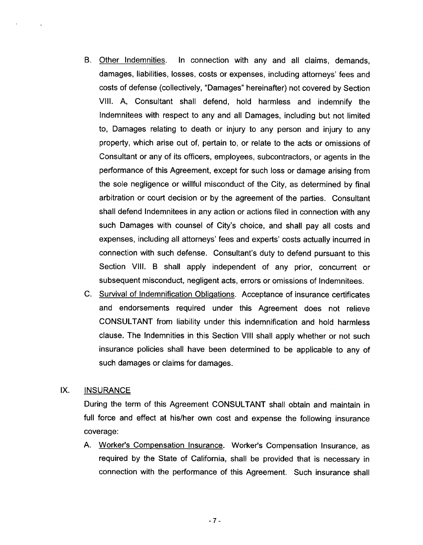- B. Other Indemnities. In connection with any and all claims, demands, damages, liabilities, losses, costs or expenses, including attorneys' fees and costs of defense ( collectively, "Damages" hereinafter) not covered by Section VIII. A, Consultant shall defend, hold harmless and indemnify the Indemnitees with respect to any and all Damages, including but not limited to, Damages relating to death or injury to any person and injury to any property, which arise out of, pertain to, or relate to the acts or omissions of Consultant or any of its officers, employees, subcontractors, or agents in the performance of this Agreement, except for such loss or damage arising from the sole negligence or willful misconduct of the City, as determined by final arbitration or court decision or by the agreement of the parties. Consultant shall defend Indemnitees in any action or actions filed in connection with any such Damages with counsel of City's choice, and shall pay all costs and expenses, including all attorneys' fees and experts' costs actually incurred in connection with such defense. Consultant's duty to defend pursuant to this Section VIII. <sup>B</sup> shall apply independent of any prior, concurrent or subsequent misconduct, negligent acts, errors or omissions of Indemnitees.
- C. Survival of Indemnification Obligations. Acceptance of insurance certificates and endorsements required under this Agreement does not relieve CONSULTANT from liability under this indemnification and hold harmless clause. The Indemnities in this Section VIII shall apply whether or not such insurance policies shall have been determined to be applicable to any of such damages or claims for damages.

### IX. INSURANCE

During the term of this Agreement CONSULTANT shall obtain and maintain in full force and effect at his/her own cost and expense the following insurance coverage:

A. Worker's Compensation Insurance. Worker's Compensation Insurance, as required by the State of California, shall be provided that is necessary in connection with the performance of this Agreement. Such insurance shall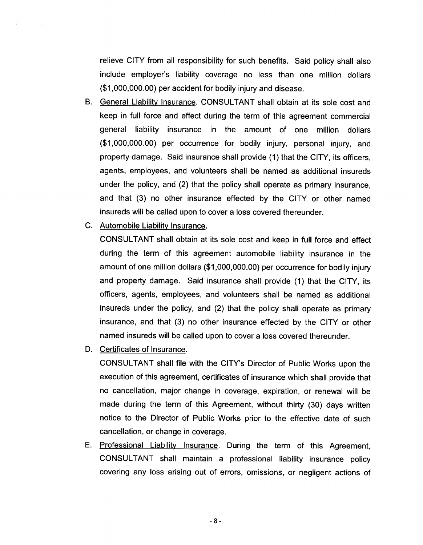relieve CITY from all responsibility for such benefits. Said policy shall also include employer's liability coverage no less than one million dollars 1, 000,000. 00) per accident for bodily injury and disease.

- B. General Liability Insurance. CONSULTANT shall obtain at its sole cost and keep in full force and effect during the term of this agreement commercial general liability insurance in the amount of one million dollars 1, 000,000.00) per occurrence for bodily injury, personal injury, and property damage. Said insurance shall provide ( 1) that the CITY, its officers, agents, employees, and volunteers shall be named as additional insureds under the policy, and (2) that the policy shall operate as primary insurance, and that (3) no other insurance effected by the CITY or other named insureds will be called upon to cover a loss covered thereunder.
- C. Automobile Liability Insurance.

CONSULTANT shall obtain at its sole cost and keep in full force and effect during the term of this agreement automobile liability insurance in the amount of one million dollars (\$ 1, 000,000. 00) per occurrence for bodily injury and property damage. Said insurance shall provide ( 1) that the CITY, its officers, agents, employees, and volunteers shall be named as additional insureds under the policy, and (2) that the policy shall operate as primary insurance, and that (3) no other insurance effected by the CITY or other named insureds will be called upon to cover a loss covered thereunder.

D. Certificates of Insurance.

CONSULTANT shall file with the CITY's Director of Public Works upon the execution of this agreement, certificates of insurance which shall provide that no cancellation, major change in coverage, expiration, or renewal will be made during the term of this Agreement, without thirty (30) days written notice to the Director of Public Works prior to the effective date of such cancellation, or change in coverage.

E. Professional Liability Insurance. During the term of this Agreement, CONSULTANT shall maintain <sup>a</sup> professional liability insurance policy covering any loss arising out of errors, omissions, or negligent actions of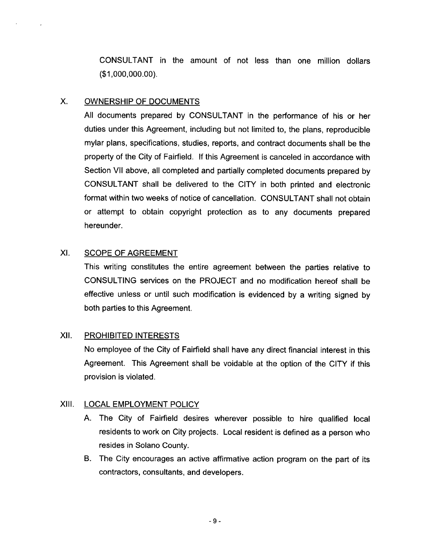CONSULTANT in the amount of not less than one million dollars  $( $1,000,000.00)$ .

### X. OWNERSHIP OF DOCUMENTS

 $\sim$   $\sim$ 

All documents prepared by CONSULTANT in the performance of his or her duties under this Agreement, including but not limited to, the plans, reproducible mylar plans, specifications, studies, reports, and contract documents shall be the property of the City of Fairfield. If this Agreement is canceled in accordance with Section VII above, all completed and partially completed documents prepared by CONSULTANT shall be delivered to the CITY in both printed and electronic format within two weeks of notice of cancellation. CONSULTANT shall not obtain or attempt to obtain copyright protection as to any documents prepared hereunder.

# XI. SCOPE OF AGREEMENT

This writing constitutes the entire agreement between the parties relative to CONSULTING services on the PROJECT and no modification hereof shall be effective unless or until such modification is evidenced by a writing signed by both parties to this Agreement.

# XII. PROHIBITED INTERESTS

No employee of the City of Fairfield shall have any direct financial interest in this Agreement. This Agreement shall be voidable at the option of the CITY if this provision is violated.

# XIII. LOCAL EMPLOYMENT POLICY

- A. The City of Fairfield desires wherever possible to hire qualified local residents to work on City projects. Local resident is defined as <sup>a</sup> person who resides in Solano County.
- B. The City encourages an active affirmative action program on the part of its contractors, consultants, and developers.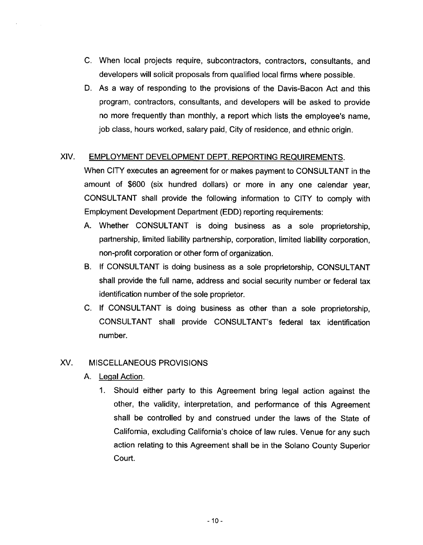- C. When local projects require, subcontractors, contractors, consultants, and developers will solicit proposals from qualified local firms where possible.
- D. As a way of responding to the provisions of the Davis-Bacon Act and this program, contractors, consultants, and developers will be asked to provide no more frequently than monthly, a report which lists the employee's name. job class, hours worked, salary paid, City of residence, and ethnic origin.

# XIV. EMPLOYMENT DEVELOPMENT DEPT. REPORTING REQUIREMENTS.

When CITY executes an agreement for or makes payment to CONSULTANT in the amount of \$600 (six hundred dollars) or more in any one calendar year, CONSULTANT shall provide the following information to CITY to comply with Employment Development Department( EDD) reporting requirements:

- A. Whether CONSULTANT is doing business as <sup>a</sup> sole proprietorship, partnership, limited liability partnership, corporation, limited liability corporation, non- profit corporation or other form of organization.
- B. If CONSULTANT is doing business as a sole proprietorship, CONSULTANT shall provide the full name, address and social security number or federal tax identification number of the sole proprietor.
- C. If CONSULTANT is doing business as other than a sole proprietorship, CONSULTANT shall provide CONSULTANT's federal tax identification number.

### XV. MISCELLANEOUS PROVISIONS

- A. Legal Action.
	- 1. Should either party to this Agreement bring legal action against the other, the validity, interpretation, and performance of this Agreement shall be controlled by and construed under the laws of the State of California, excluding California's choice of law rules. Venue for any such action relating to this Agreement shall be in the Solano County Superior Court.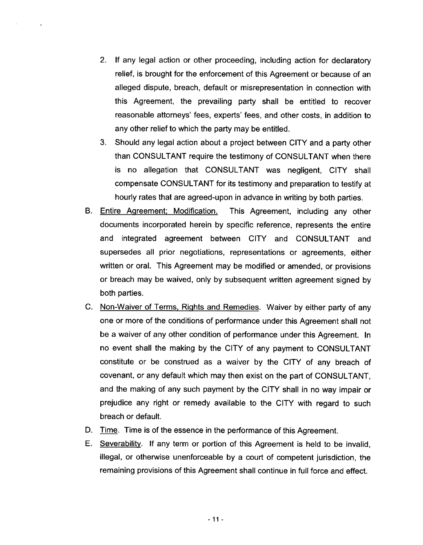- 2. If any legal action or other proceeding, including action for declaratory relief, is brought for the enforcement of this Agreement or because of an alleged dispute, breach, default or misrepresentation in connection with this Agreement, the prevailing party shall be entitled to recover reasonable attorneys' fees, experts' fees, and other costs, in addition to any other relief to which the party may be entitled.
- 3. Should any legal action about a project between CITY and a party other than CONSULTANT require the testimony of CONSULTANT when there is no allegation that CONSULTANT was negligent, CITY shall compensate CONSULTANT for its testimony and preparation to testify at hourly rates that are agreed-upon in advance in writing by both parties.
- B. Entire Agreement; Modification. This Agreement, including any other documents incorporated herein by specific reference, represents the entire and integrated agreement between CITY and CONSULTANT and supersedes all prior negotiations, representations or agreements, either written or oral. This Agreement may be modified or amended, or provisions or breach may be waived, only by subsequent written agreement signed by both parties.
- C. Non-Waiver of Terms, Rights and Remedies. Waiver by either party of any one or more of the conditions of performance under this Agreement shall not be <sup>a</sup> waiver of any other condition of performance under this Agreement. In no event shall the making by the CITY of any payment to CONSULTANT constitute or be construed as a waiver by the CITY of any breach of covenant, or any default which may then exist on the part of CONSULTANT, and the making of any such payment by the CITY shall in no way impair or prejudice any right or remedy available to the CITY with regard to such breach or default.
- D. Time. Time is of the essence in the performance of this Agreement.
- E. Severability. If any term or portion of this Agreement is held to be invalid, illegal, or otherwise unenforceable by a court of competent jurisdiction, the remaining provisions of this Agreement shall continue in full force and effect.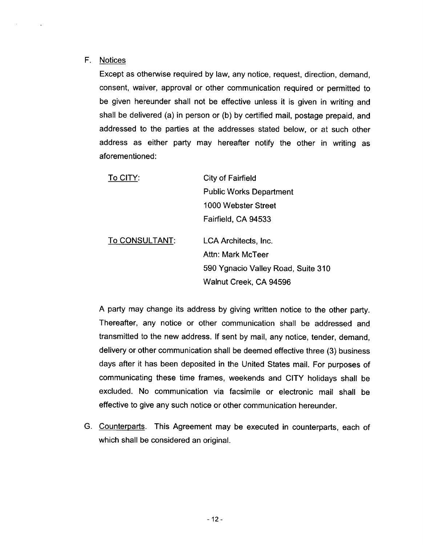#### F. Notices

 $\sim$ 

 $\sim$ 

Except as otherwise required by law, any notice, request, direction, demand, consent, waiver, approval or other communication required or permitted to be given hereunder shall not be effective unless it is given in writing and shall be delivered (a) in person or (b) by certified mail, postage prepaid, and addressed to the parties at the addresses stated below, or at such other address as either party may hereafter notify the other in writing as aforementioned:

| To CITY:       | City of Fairfield                  |
|----------------|------------------------------------|
|                | <b>Public Works Department</b>     |
|                | 1000 Webster Street                |
|                | Fairfield, CA 94533                |
| To CONSULTANT: | LCA Architects, Inc.               |
|                | Attn: Mark McTeer                  |
|                | 590 Ygnacio Valley Road, Suite 310 |
|                | Walnut Creek, CA 94596             |
|                |                                    |

A party may change its address by giving written notice to the other party. Thereafter, any notice or other communication shall be addressed and transmitted to the new address. If sent by mail, any notice, tender, demand, delivery or other communication shall be deemed effective three (3) business days after it has been deposited in the United States mail. For purposes of communicating these time frames, weekends and CITY holidays shall be excluded. No communication via facsimile or electronic mail shall be effective to give any such notice or other communication hereunder.

G. Counterparts. This Agreement may be executed in counterparts, each of which shall be considered an original.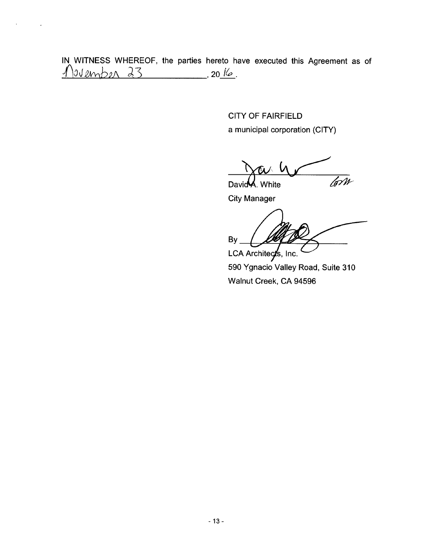IN WITNESS WHEREOF, the parties hereto have executed this Agreement as of  $\sqrt$  $04$  and  $23$  , 20 16.

 $\ddot{\phantom{0}}$ 

 $\sim$   $\sim$ 

CITY OF FAIRFIELD a municipal corporation (CITY)

 $DavidA. White$ 

City Manager

anager<br>**At 10** By LCA Architects, Inc.

590 Ygnacio Valley Road, Suite 310 Walnut Creek, CA 94596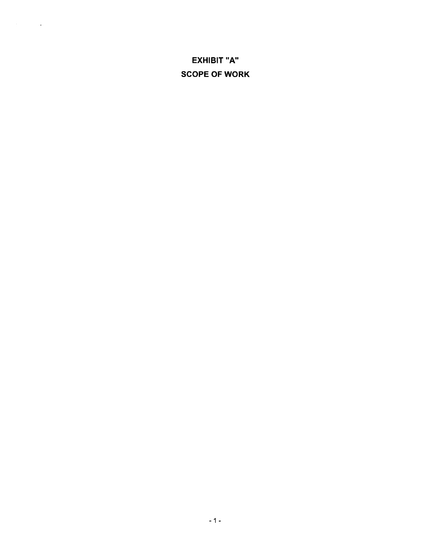# EXHIBIT "A" SCOPE OF WORK

 $\label{eq:2.1} \mathcal{L}(\mathcal{A}) = \mathcal{L}(\mathcal{A}) = \mathcal{L}(\mathcal{A}) = \mathcal{L}(\mathcal{A})$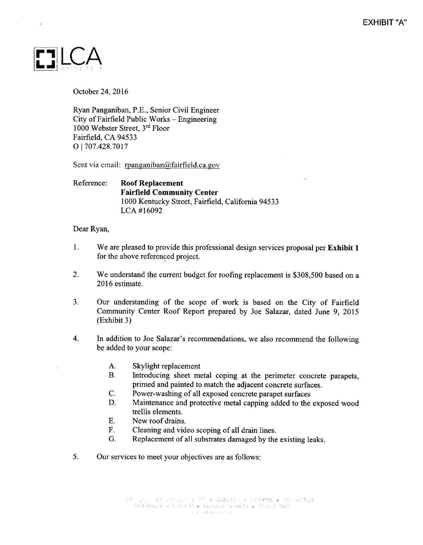

October 24, 2016

Ryan Panganiban, P.E., Senior Civil Engineer City of Fairfield Public Works  $-$  Engineering 1000 Webster Street, 3rd Floor Fairfield, CA 94533 O 1707.428. 7017

Sent via email: rpanganiban@fairfield.ca.gov

### Reference: Roof Replacement Fairfield Community Center 1000 Kentucky Street, Fairfield, California 94533 LCA #16092

#### Dear Ryan,

- 1. We are pleased to provide this professional design services proposal per Exhibit <sup>1</sup> for the above referenced project.
- 2. We understand the current budget for roofing replacement is \$308,500 based on a 2016 estimate.
- 3. Our understanding of the scope of work is based on the City of Fairfield Community Center Roof Report prepared by Joe Salazar, dated June 9, 2015 Exhibit 3)
- 4. In addition to Joe Salazar's recommendations, we also recommend the following be added to your scope:
	- A. Skylight replacement
	- B. Introducing sheet metal coping at the perimeter concrete parapets, primed and painted to match the adjacent concrete surfaces.
	- C. Power-washing of all exposed concrete parapet surfaces<br>D. Maintenance and protective metal canning added to the
	- Maintenance and protective metal capping added to the exposed wood trellis elements.
	- E. New roof drains.
	- F. Cleaning and video scoping of all drain lines.<br>G. Replacement of all substrates damaged by the
	- Replacement of all substrates damaged by the existing leaks.
- 5. Our services to meet your objectives are as follows: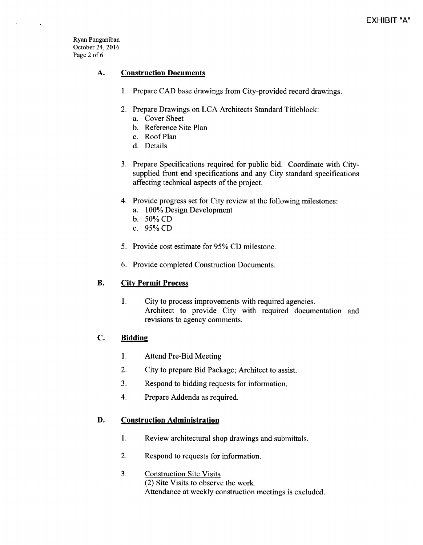Ryan Panganiban October 24, 2016 Page <sup>2</sup> of <sup>6</sup>

 $\ddot{\phantom{a}}$ 

#### A. Construction Documents

- 1. Prepare CAD base drawings from City-provided record drawings.
- 2. Prepare Drawings on LCA Architects Standard Titleblock:
	- a. Cover Sheet
	- b. Reference Site Plan
	- c. Roof Plan
	- d. Details
- 3. Prepare Specifications required for public bid. Coordinate with Citysupplied front end specifications and any City standard specifications affecting technical aspects of the project.
- 4. Provide progress set for City review at the following milestones:
	- a. 100% Design Development
	- b. 50% CD
	- c. 95% CD
- 5. Provide cost estimate for 95% CD milestone.
- 6. Provide completed Construction Documents.

### B. City Permit Process

1. City to process improvements with required agencies. Architect to provide City with required documentation and revisions to agency comments.

### C. Bidding

- 1. Attend Pre-Bid Meeting
- 2. City to prepare Bid Package; Architect to assist.
- 3. Respond to bidding requests for information.
- 4. Prepare Addenda as required.

#### D. Construction Administration

- 1. Review architectural shop drawings and submittals.
- 2. Respond to requests for information.
- 3. Construction Site Visits 2) Site Visits to observe the work. Attendance at weekly construction meetings is excluded.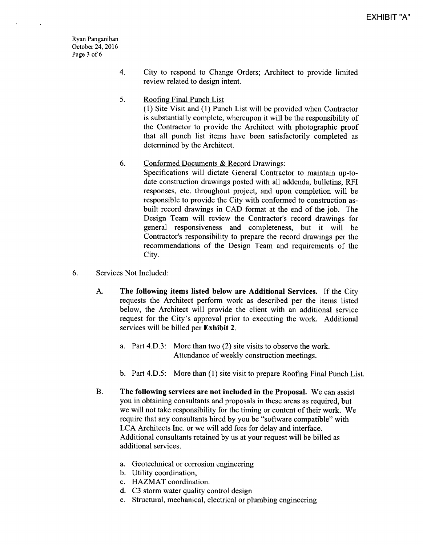Ryan Panganiban October 24, 2016 Page <sup>3</sup> of <sup>6</sup>

- 4. City to respond to Change Orders; Architect to provide limited review related to design intent.
- 5. Roofing Final Punch List

1) Site Visit and ( 1) Punch List will be provided when Contractor is substantially complete, whereupon it will be the responsibility of the Contractor to provide the Architect with photographic proof that all punch list items have been satisfactorily completed as determined by the Architect.

6. Conformed Documents & Record Drawings:

Specifications will dictate General Contractor to maintain up-todate construction drawings posted with all addenda, bulletins, RFI responses, etc. throughout project, and upon completion will be responsible to provide the City with conformed to construction asbuilt record drawings in CAD format at the end of the job. The Design Team will review the Contractor's record drawings for general responsiveness and completeness, but it will be Contractor's responsibility to prepare the record drawings per the recommendations of the Design Team and requirements of the City.

- 6. Services Not Included:
	- A. The following items listed below are Additional Services. If the City requests the Architect perform work as described per the items listed below, the Architect will provide the client with an additional service request for the City's approval prior to executing the work. Additional services will be billed per Exhibit 2.
		- a. Part 4.D.3: More than two (2) site visits to observe the work. Attendance of weekly construction meetings.
		- b. Part 4.D.5: More than (1) site visit to prepare Roofing Final Punch List.
	- B. The following services are not included in the Proposal. We can assist you in obtaining consultants and proposals in these areas as required, but we will not take responsibility for the timing or content of their work. We require that any consultants hired by you be "software compatible" with LCA Architects Inc. or we will add fees for delay and interface. Additional consultants retained by us at your request will be billed as additional services.
		- a. Geotechnical or corrosion engineering
		- b. Utility coordination,
		- c. HAZMAT coordination.
		- d. C3 storm water quality control design
		- e. Structural, mechanical, electrical or plumbing engineering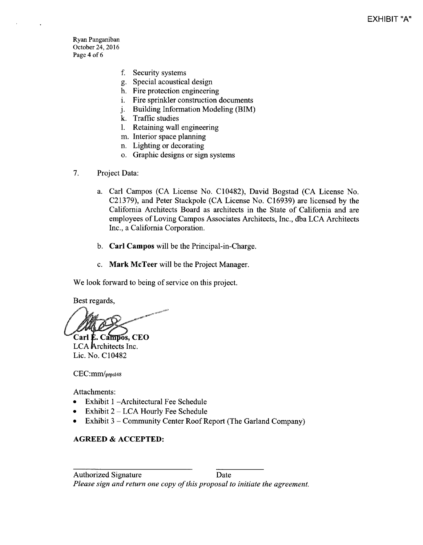Ryan Panganiban October 24, 2016 Page 4 of <sup>6</sup>

- f. Security systems
- g. Special acoustical design
- h. Fire protection engineering
- i. Fire sprinkler construction documents
- j. Building Information Modeling (BIM)
- k. Traffic studies
- 1. Retaining wall engineering
- m. Interior space planning
- n. Lighting or decorating
- o. Graphic designs or sign systems
- 7. Project Data:
	- a. Carl Campos ( CA License No. C 10482), David Bogstad ( CA License No. C21379), and Peter Stackpole (CA License No. C16939) are licensed by the California Architects Board as architects in the State of California and are employees of Loving Campos Associates Architects, Inc., dba LCA Architects Inc., a California Corporation.
	- b. Carl Campos will be the Principal-in-Charge.
	- c. Mark McTeer will be the Project Manager.

We look forward to being of service on this project.

Best regards,

 $Carl$   $E.$  Campos, CEO

LCA Architects Inc. Lic. No. C10482

CEC:mm/prpsl48

Attachments:

- Exhibit 1 Architectural Fee Schedule
- Exhibit 2— LCA Hourly Fee Schedule  $\bullet$
- Exhibit 3 Community Center Roof Report( The Garland Company)  $\bullet$

#### AGREED & ACCEPTED: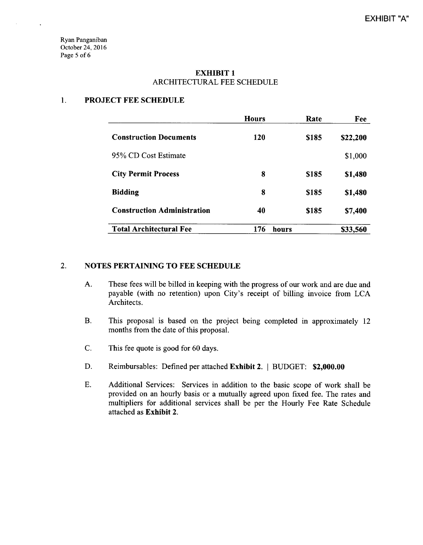Ryan Panganiban October 24, 2016 Page <sup>5</sup> of <sup>6</sup>

 $\ddot{\phantom{a}}$ 

#### EXHIBIT <sup>1</sup> ARCHITECTURAL FEE SCHEDULE

#### 1. PROJECT FEE SCHEDULE

|                                    | <b>Hours</b> | Rate        | Fee      |
|------------------------------------|--------------|-------------|----------|
| <b>Construction Documents</b>      | 120          | <b>S185</b> | \$22,200 |
| 95% CD Cost Estimate               |              |             | \$1,000  |
| <b>City Permit Process</b>         | 8            | \$185       | \$1,480  |
| <b>Bidding</b>                     | 8            | <b>S185</b> | \$1,480  |
| <b>Construction Administration</b> | 40           | \$185       | \$7,400  |
| <b>Total Architectural Fee</b>     | 176          | hours       | \$33,560 |

### 2. NOTES PERTAINING TO FEE SCHEDULE

- A. These fees will be billed in keeping with the progress of our work and are due and payable (with no retention) upon City's receipt of billing invoice from LCA Architects.
- B. This proposal is based on the project being completed in approximately <sup>12</sup> months from the date of this proposal.
- C. This fee quote is good for 60 days.
- D. Reimbursables: Defined per attached Exhibit 2. | BUDGET: \$2,000.00
- E. Additional Services: Services in addition to the basic scope of work shall be provided on an hourly basis or a mutually agreed upon fixed fee. The rates and multipliers for additional services shall be per the Hourly Fee Rate Schedule attached as Exhibit 2.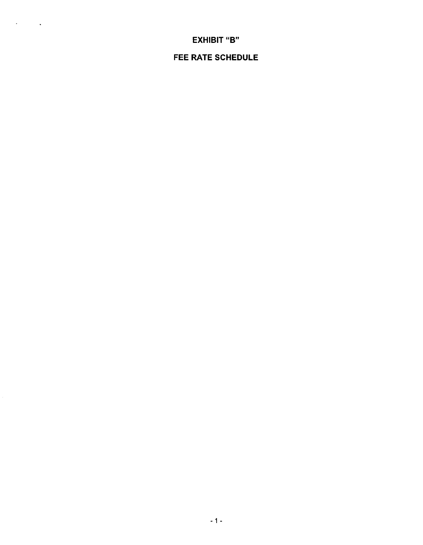# FEE RATE SCHEDULE

# **EXHIBIT "B"**

 $\sigma_{\rm{max}}=0.1$  .

 $-1 -$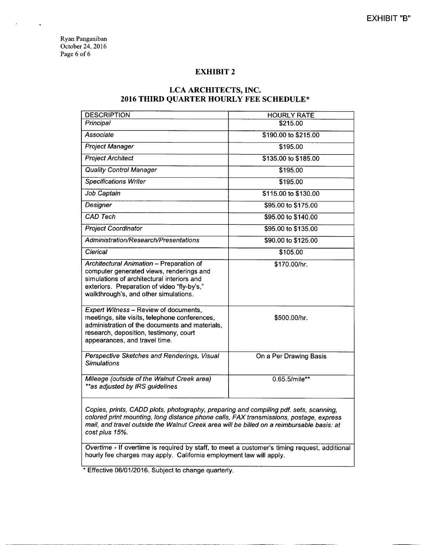Ryan Panganiban October 24, 2016 Page 6 of 6

#### EXHIBIT <sup>2</sup>

#### LCA ARCHITECTS, INC. 2016 THIRD QUARTER HOURLY FEE SCHEDULE\*

| <b>DESCRIPTION</b>                                                                                                                                                                                                         | <b>HOURLY RATE</b>     |
|----------------------------------------------------------------------------------------------------------------------------------------------------------------------------------------------------------------------------|------------------------|
| Principal                                                                                                                                                                                                                  | \$215.00               |
| Associate                                                                                                                                                                                                                  | \$190.00 to \$215.00   |
| <b>Project Manager</b>                                                                                                                                                                                                     | \$195.00               |
| <b>Project Architect</b>                                                                                                                                                                                                   | \$135.00 to \$185.00   |
| <b>Quality Control Manager</b>                                                                                                                                                                                             | \$195.00               |
| Specifications Writer                                                                                                                                                                                                      | \$195.00               |
| Job Captain                                                                                                                                                                                                                | \$115.00 to \$130.00   |
| Designer                                                                                                                                                                                                                   | \$95.00 to \$175.00    |
| <b>CAD Tech</b>                                                                                                                                                                                                            | \$95.00 to \$140.00    |
| <b>Project Coordinator</b>                                                                                                                                                                                                 | \$95.00 to \$135.00    |
| <b>Administration/Research/Presentations</b>                                                                                                                                                                               | \$90.00 to \$125.00    |
| Clerical                                                                                                                                                                                                                   | \$105.00               |
| Architectural Animation - Preparation of<br>computer generated views, renderings and<br>simulations of architectural interiors and<br>exteriors. Preparation of video "fly-by's,"<br>walkthrough's, and other simulations. | \$170.00/hr.           |
| <b>Expert Witness - Review of documents,</b><br>meetings, site visits, telephone conferences,<br>administration of the documents and materials,<br>research, deposition, testimony, court<br>appearances, and travel time. | \$500.00/hr.           |
| Perspective Sketches and Renderings, Visual<br><b>Simulations</b>                                                                                                                                                          | On a Per Drawing Basis |
| Mileage (outside of the Walnut Creek area)<br>**as adjusted by IRS guidelines                                                                                                                                              | 0.65.5/mile**          |
|                                                                                                                                                                                                                            |                        |

Copies, prints, CADD plots, photography, preparing and compiling pdf. sets, scanning, colored print mounting, long distance phone calls, FAX transmissions, postage, express mail, and travel outside the Walnut Creek area will be billed on a reimbursable basis: at cost plus 15%.

Overtime - If overtime is required by staff, to meet a customer's timing request, additional hourly fee charges may apply. California employment law will apply.

Effective 06/01/2016. Subject to change quarterly.